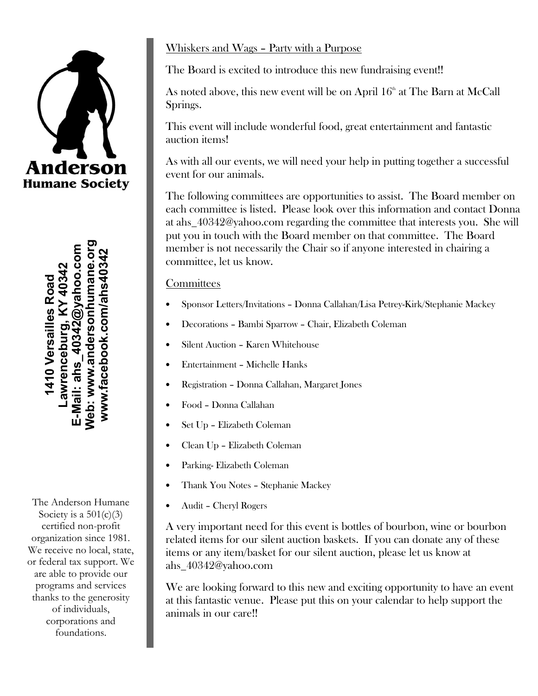# **Anderson Humane Society**

Neb: www.andersonhumane.org **Web: www.andersonhumane.org** E-Mail: ahs\_40342@yahoo.com **E-Mail: ahs\_40342@yahoo.com www.facebook.com/ahs40342** www.facebook.com/ahs40342 **Lawrenceburg, KY 40342** 1410 Versailles Road **1410 Versailles Road** awrenceburg,

The Anderson Humane Society is a  $501(c)(3)$ certified non-profit organization since 1981. We receive no local, state, or federal tax support. We are able to provide our programs and services thanks to the generosity of individuals, corporations and foundations.

### Whiskers and Wags – Party with a Purpose

The Board is excited to introduce this new fundraising event!!

As noted above, this new event will be on April  $16<sup>th</sup>$  at The Barn at McCall Springs.

This event will include wonderful food, great entertainment and fantastic auction items!

As with all our events, we will need your help in putting together a successful event for our animals.

The following committees are opportunities to assist. The Board member on each committee is listed. Please look over this information and contact Donna at ahs\_40342@yahoo.com regarding the committee that interests you. She will put you in touch with the Board member on that committee. The Board member is not necessarily the Chair so if anyone interested in chairing a committee, let us know.

#### **Committees**

- Sponsor Letters/Invitations Donna Callahan/Lisa Petrey-Kirk/Stephanie Mackey
- Decorations Bambi Sparrow Chair, Elizabeth Coleman
- Silent Auction Karen Whitehouse
- Entertainment Michelle Hanks
- Registration Donna Callahan, Margaret Jones
- Food Donna Callahan
- Set Up Elizabeth Coleman
- Clean Up Elizabeth Coleman
- Parking-Elizabeth Coleman
- Thank You Notes Stephanie Mackey
- Audit Cheryl Rogers

A very important need for this event is bottles of bourbon, wine or bourbon related items for our silent auction baskets. If you can donate any of these items or any item/basket for our silent auction, please let us know at ahs\_40342@yahoo.com

We are looking forward to this new and exciting opportunity to have an event at this fantastic venue. Please put this on your calendar to help support the animals in our care!!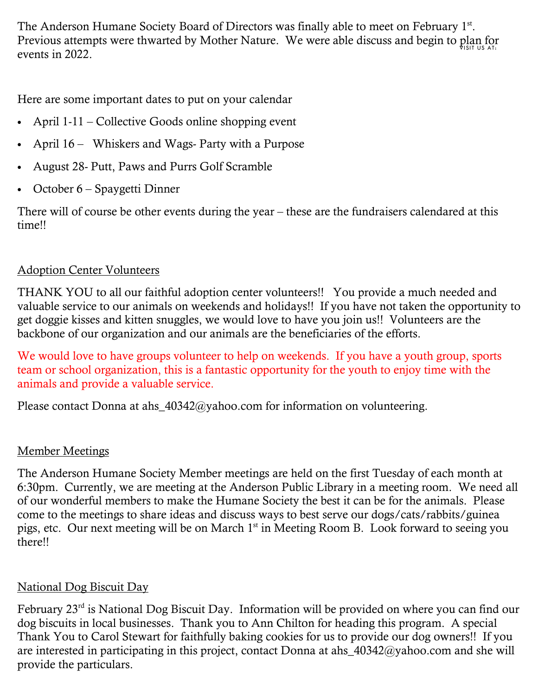Previous attempts were thwarted by Mother Nature. We were able discuss and begin to plan for The Anderson Humane Society Board of Directors was finally able to meet on February 1<sup>st</sup>. events in 2022.

Here are some important dates to put on your calendar

- April 1-11 Collective Goods online shopping event
- April 16 Whiskers and Wags- Party with a Purpose
- August 28- Putt, Paws and Purrs Golf Scramble
- October 6 Spaygetti Dinner

There will of course be other events during the year – these are the fundraisers calendared at this time!!

#### Adoption Center Volunteers

THANK YOU to all our faithful adoption center volunteers!! You provide a much needed and valuable service to our animals on weekends and holidays!! If you have not taken the opportunity to get doggie kisses and kitten snuggles, we would love to have you join us!! Volunteers are the backbone of our organization and our animals are the beneficiaries of the efforts.

We would love to have groups volunteer to help on weekends. If you have a youth group, sports team or school organization, this is a fantastic opportunity for the youth to enjoy time with the animals and provide a valuable service.

Please contact Donna at ahs  $40342@$ yahoo.com for information on volunteering.

#### Member Meetings

The Anderson Humane Society Member meetings are held on the first Tuesday of each month at 6:30pm. Currently, we are meeting at the Anderson Public Library in a meeting room. We need all of our wonderful members to make the Humane Society the best it can be for the animals. Please come to the meetings to share ideas and discuss ways to best serve our dogs/cats/rabbits/guinea pigs, etc. Our next meeting will be on March 1<sup>st</sup> in Meeting Room B. Look forward to seeing you there!!

#### National Dog Biscuit Day

February 23<sup>rd</sup> is National Dog Biscuit Day. Information will be provided on where you can find our dog biscuits in local businesses. Thank you to Ann Chilton for heading this program. A special Thank You to Carol Stewart for faithfully baking cookies for us to provide our dog owners!! If you are interested in participating in this project, contact Donna at ahs\_40342@yahoo.com and she will provide the particulars.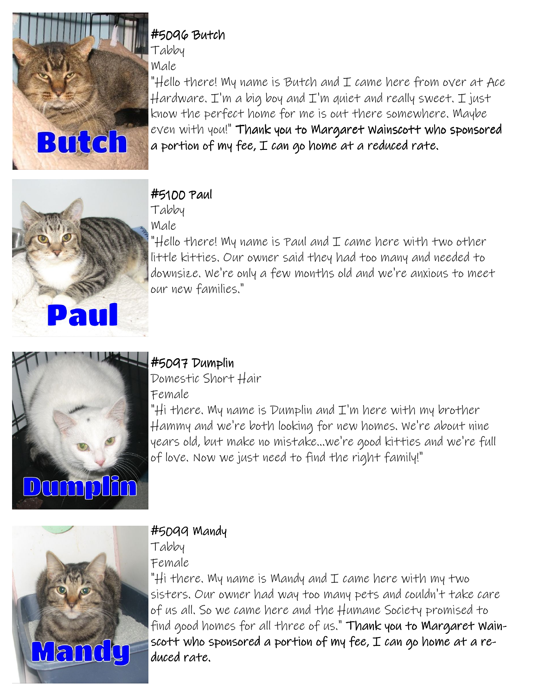

## #5096 Butch

Tabby

Male

"Hello there! My name is Butch and  $I$  came here from over at Ace  $\#$ ardware. I'm a big boy and I'm quiet and really sweet. I just know the perfect home for me is out there somewhere. Maybe  $even$  with you!" Thank you to Margaret Wainscott who sponsored a portion of my fee,  $I$  can go home at a reduced rate.



# #5100 Paul #5100 Paul

Tabby

Male

"Hello there! My name is Paul and  $\mathcal I$  came here with two other little kitties. Our owner said they had too many and needed to downsize. We're only a few months old and we're anxious to meet our new families."



# #5097 Dumplin

Domestic Short Hair Female

"Hi there. My name is Dumplin and I'm here with my brother Hammy and we're both looking for new homes. We're about nine years old, but make no mistake...we're good kitties and we're full of love. Now we just need to find the right family!"



# #5099 Mandy

Tabby

Female

"Hi there. My name is Mandy and  $I$  came here with my two sisters. Our owner had way too many pets and couldn't take care of us all. So we came here and the Humane Society promised to find good homes for all three of us." Thank you to Margaret Wainscott who sponsored a portion of my fee,  $I$  can go home at a reduced rate.